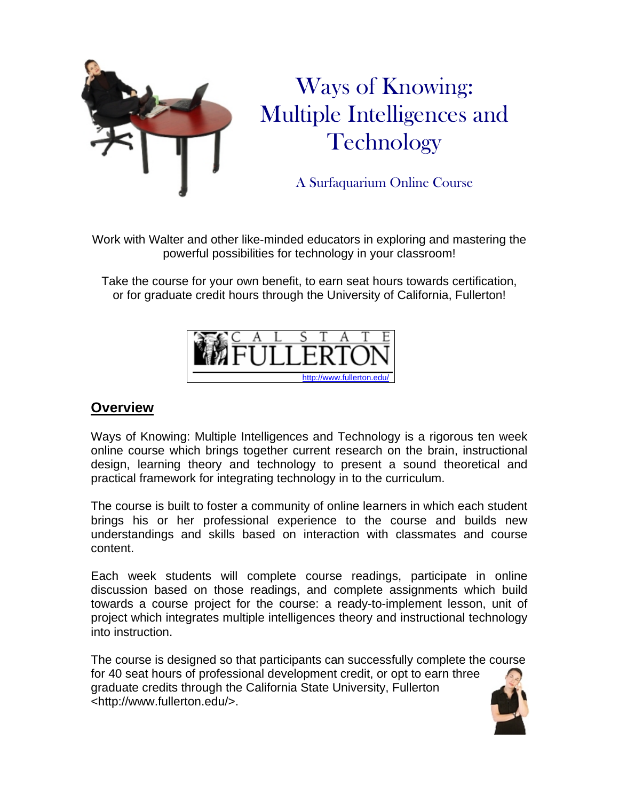

# Ways of Knowing: Multiple Intelligences and **Technology**

A Surfaquarium Online Course

Work with Walter and other like-minded educators in exploring and mastering the powerful possibilities for technology in your classroom!

Take the course for your own benefit, to earn seat hours towards certification, or for graduate credit hours through the University of California, Fullerton!



# **Overview**

Ways of Knowing: Multiple Intelligences and Technology is a rigorous ten week online course which brings together current research on the brain, instructional design, learning theory and technology to present a sound theoretical and practical framework for integrating technology in to the curriculum.

The course is built to foster a community of online learners in which each student brings his or her professional experience to the course and builds new understandings and skills based on interaction with classmates and course content.

Each week students will complete course readings, participate in online discussion based on those readings, and complete assignments which build towards a course project for the course: a ready-to-implement lesson, unit of project which integrates multiple intelligences theory and instructional technology into instruction.

The course is designed so that participants can successfully complete the course for 40 seat hours of professional development credit, or opt to earn three graduate credits through the California State University, Fullerton <http://www.fullerton.edu/>.

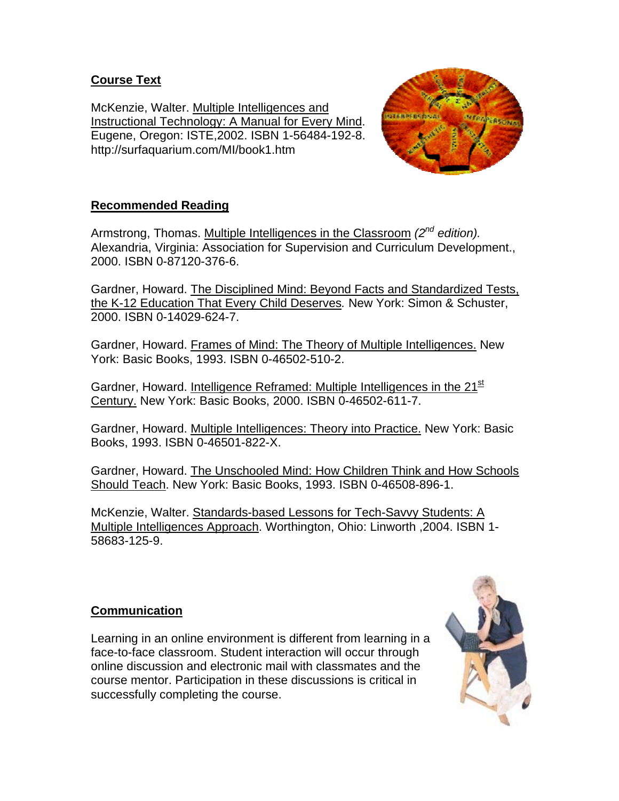## **Course Text**

McKenzie, Walter. Multiple Intelligences and Instructional Technology: A Manual for Every Mind. Eugene, Oregon: ISTE,2002. ISBN 1-56484-192-8. http://surfaquarium.com/MI/book1.htm



## **Recommended Reading**

Armstrong, Thomas. Multiple Intelligences in the Classroom *(2nd edition).* Alexandria, Virginia: Association for Supervision and Curriculum Development., 2000. ISBN 0-87120-376-6.

Gardner, Howard. The Disciplined Mind: Beyond Facts and Standardized Tests, the K-12 Education That Every Child Deserves*.* New York: Simon & Schuster, 2000. ISBN 0-14029-624-7.

Gardner, Howard. Frames of Mind: The Theory of Multiple Intelligences. New York: Basic Books, 1993. ISBN 0-46502-510-2.

Gardner, Howard. Intelligence Reframed: Multiple Intelligences in the 21<sup>st</sup> Century. New York: Basic Books, 2000. ISBN 0-46502-611-7.

Gardner, Howard. Multiple Intelligences: Theory into Practice. New York: Basic Books, 1993. ISBN 0-46501-822-X.

Gardner, Howard. The Unschooled Mind: How Children Think and How Schools Should Teach. New York: Basic Books, 1993. ISBN 0-46508-896-1.

McKenzie, Walter. Standards-based Lessons for Tech-Savvy Students: A Multiple Intelligences Approach. Worthington, Ohio: Linworth ,2004. ISBN 1- 58683-125-9.

## **Communication**

Learning in an online environment is different from learning in a face-to-face classroom. Student interaction will occur through online discussion and electronic mail with classmates and the course mentor. Participation in these discussions is critical in successfully completing the course.

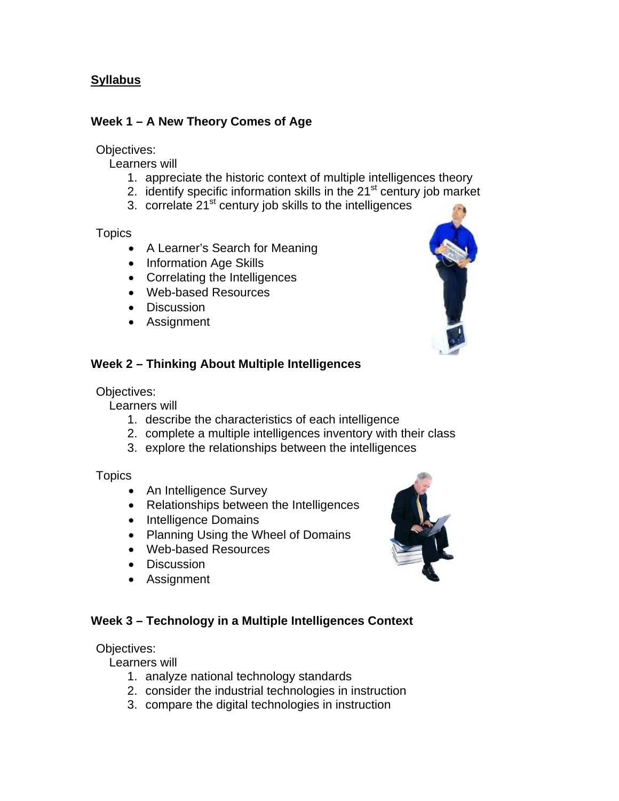## **Syllabus**

## **Week 1 – A New Theory Comes of Age**

### Objectives:

Learners will

- 1. appreciate the historic context of multiple intelligences theory
- 2. identify specific information skills in the  $21<sup>st</sup>$  century job market
- 3. correlate 21<sup>st</sup> century job skills to the intelligences

#### Topics

- A Learner's Search for Meaning
- Information Age Skills
- Correlating the Intelligences
- Web-based Resources
- Discussion
- Assignment



## **Week 2 – Thinking About Multiple Intelligences**

#### Objectives:

Learners will

- 1. describe the characteristics of each intelligence
- 2. complete a multiple intelligences inventory with their class
- 3. explore the relationships between the intelligences

#### **Topics**

- An Intelligence Survey
- Relationships between the Intelligences
- Intelligence Domains
- Planning Using the Wheel of Domains
- Web-based Resources
- Discussion
- Assignment

# **Week 3 – Technology in a Multiple Intelligences Context**

## Objectives:

Learners will

- 1. analyze national technology standards
- 2. consider the industrial technologies in instruction
- 3. compare the digital technologies in instruction

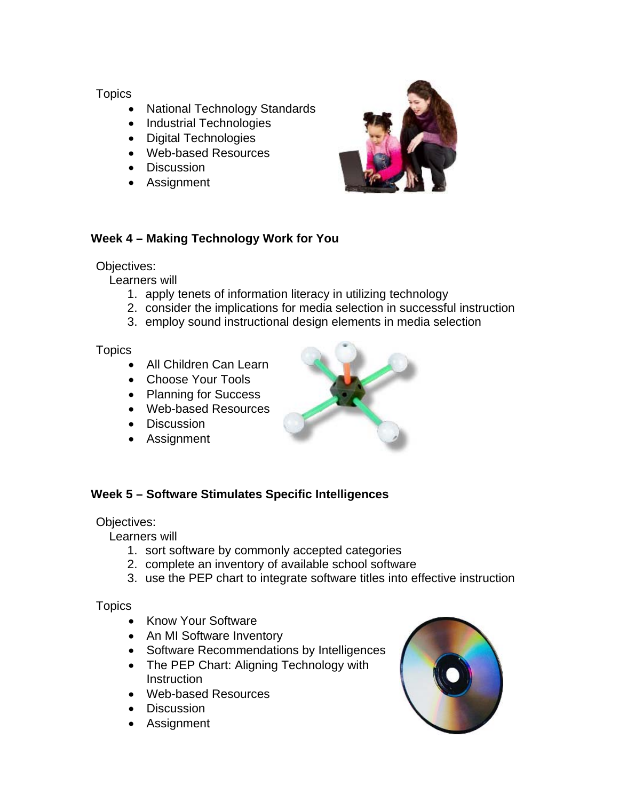## **Topics**

- National Technology Standards
- Industrial Technologies
- Digital Technologies
- Web-based Resources
- Discussion
- Assignment



# **Week 4 – Making Technology Work for You**

## Objectives:

Learners will

- 1. apply tenets of information literacy in utilizing technology
- 2. consider the implications for media selection in successful instruction
- 3. employ sound instructional design elements in media selection

**Topics** 

- All Children Can Learn
- Choose Your Tools
- Planning for Success
- Web-based Resources
- Discussion
- Assignment



# **Week 5 – Software Stimulates Specific Intelligences**

# Objectives:

Learners will

- 1. sort software by commonly accepted categories
- 2. complete an inventory of available school software
- 3. use the PEP chart to integrate software titles into effective instruction

## **Topics**

- Know Your Software
- An MI Software Inventory
- Software Recommendations by Intelligences
- The PEP Chart: Aligning Technology with **Instruction**
- Web-based Resources
- Discussion
- **Assignment**

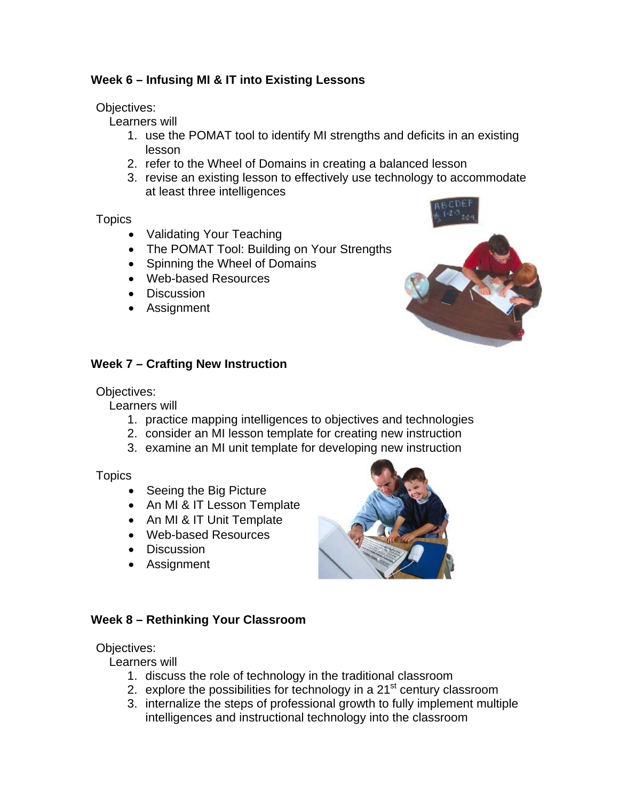## **Week 6 – Infusing MI & IT into Existing Lessons**

Objectives:

Learners will

- 1. use the POMAT tool to identify MI strengths and deficits in an existing lesson
- 2. refer to the Wheel of Domains in creating a balanced lesson
- 3. revise an existing lesson to effectively use technology to accommodate at least three intelligences

#### **Topics**

- Validating Your Teaching
- The POMAT Tool: Building on Your Strengths
- Spinning the Wheel of Domains
- Web-based Resources
- Discussion
- Assignment





## **Week 7 – Crafting New Instruction**

Objectives:

Learners will

- 1. practice mapping intelligences to objectives and technologies
- 2. consider an MI lesson template for creating new instruction
- 3. examine an MI unit template for developing new instruction

**Topics** 

- Seeing the Big Picture
- An MI & IT Lesson Template
- An MI & IT Unit Template
- Web-based Resources
- Discussion
- Assignment



## **Week 8 – Rethinking Your Classroom**

## Objectives:

Learners will

- 1. discuss the role of technology in the traditional classroom
- 2. explore the possibilities for technology in a  $21<sup>st</sup>$  century classroom
- 3. internalize the steps of professional growth to fully implement multiple intelligences and instructional technology into the classroom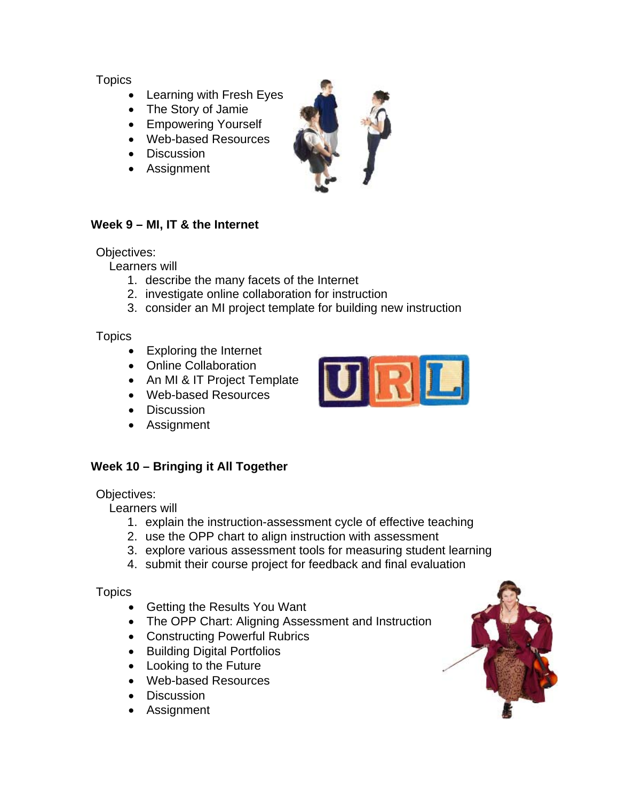## **Topics**

- Learning with Fresh Eyes
- The Story of Jamie
- Empowering Yourself
- Web-based Resources
- Discussion
- Assignment



## **Week 9 – MI, IT & the Internet**

#### Objectives:

Learners will

- 1. describe the many facets of the Internet
- 2. investigate online collaboration for instruction
- 3. consider an MI project template for building new instruction

**Topics** 

- Exploring the Internet
- Online Collaboration
- An MI & IT Project Template
- Web-based Resources
- Discussion
- Assignment



# **Week 10 – Bringing it All Together**

Objectives:

Learners will

- 1. explain the instruction-assessment cycle of effective teaching
- 2. use the OPP chart to align instruction with assessment
- 3. explore various assessment tools for measuring student learning
- 4. submit their course project for feedback and final evaluation

**Topics** 

- Getting the Results You Want
- The OPP Chart: Aligning Assessment and Instruction
- Constructing Powerful Rubrics
- Building Digital Portfolios
- Looking to the Future
- Web-based Resources
- Discussion
- Assignment

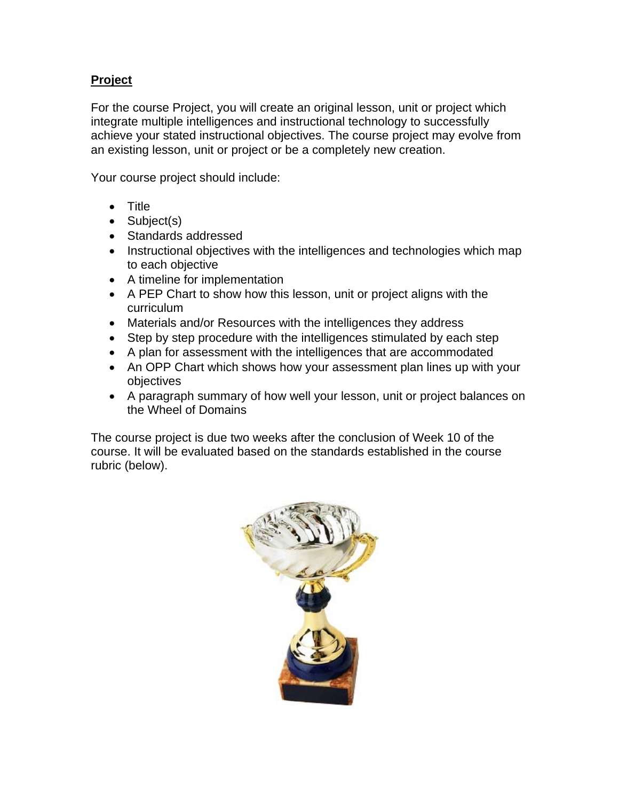## **Project**

For the course Project, you will create an original lesson, unit or project which integrate multiple intelligences and instructional technology to successfully achieve your stated instructional objectives. The course project may evolve from an existing lesson, unit or project or be a completely new creation.

Your course project should include:

- Title
- Subject(s)
- Standards addressed
- Instructional objectives with the intelligences and technologies which map to each objective
- A timeline for implementation
- A PEP Chart to show how this lesson, unit or project aligns with the curriculum
- Materials and/or Resources with the intelligences they address
- Step by step procedure with the intelligences stimulated by each step
- A plan for assessment with the intelligences that are accommodated
- An OPP Chart which shows how your assessment plan lines up with your objectives
- A paragraph summary of how well your lesson, unit or project balances on the Wheel of Domains

The course project is due two weeks after the conclusion of Week 10 of the course. It will be evaluated based on the standards established in the course rubric (below).

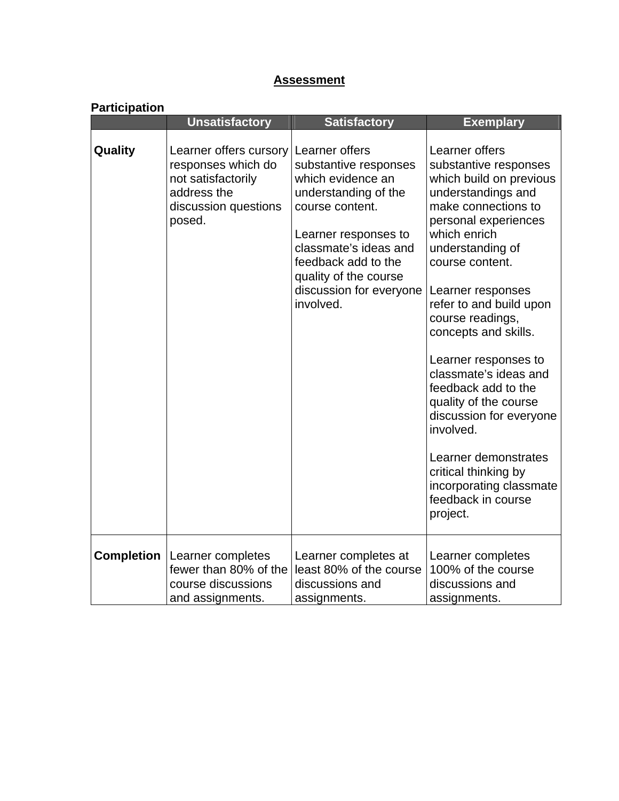# **Assessment**

## **Participation**

|                   | <b>Unsatisfactory</b>                                                                                               | <b>Satisfactory</b>                                                                                                                                                                                                                              | <b>Exemplary</b>                                                                                                                                                                                                                                                                                                                                                                                                                                                                                                                                 |
|-------------------|---------------------------------------------------------------------------------------------------------------------|--------------------------------------------------------------------------------------------------------------------------------------------------------------------------------------------------------------------------------------------------|--------------------------------------------------------------------------------------------------------------------------------------------------------------------------------------------------------------------------------------------------------------------------------------------------------------------------------------------------------------------------------------------------------------------------------------------------------------------------------------------------------------------------------------------------|
| Quality           | Learner offers cursory<br>responses which do<br>not satisfactorily<br>address the<br>discussion questions<br>posed. | Learner offers<br>substantive responses<br>which evidence an<br>understanding of the<br>course content.<br>Learner responses to<br>classmate's ideas and<br>feedback add to the<br>quality of the course<br>discussion for everyone<br>involved. | Learner offers<br>substantive responses<br>which build on previous<br>understandings and<br>make connections to<br>personal experiences<br>which enrich<br>understanding of<br>course content.<br>Learner responses<br>refer to and build upon<br>course readings,<br>concepts and skills.<br>Learner responses to<br>classmate's ideas and<br>feedback add to the<br>quality of the course<br>discussion for everyone<br>involved.<br>Learner demonstrates<br>critical thinking by<br>incorporating classmate<br>feedback in course<br>project. |
| <b>Completion</b> | Learner completes<br>fewer than 80% of the<br>course discussions<br>and assignments.                                | Learner completes at<br>least 80% of the course<br>discussions and<br>assignments.                                                                                                                                                               | Learner completes<br>100% of the course<br>discussions and<br>assignments.                                                                                                                                                                                                                                                                                                                                                                                                                                                                       |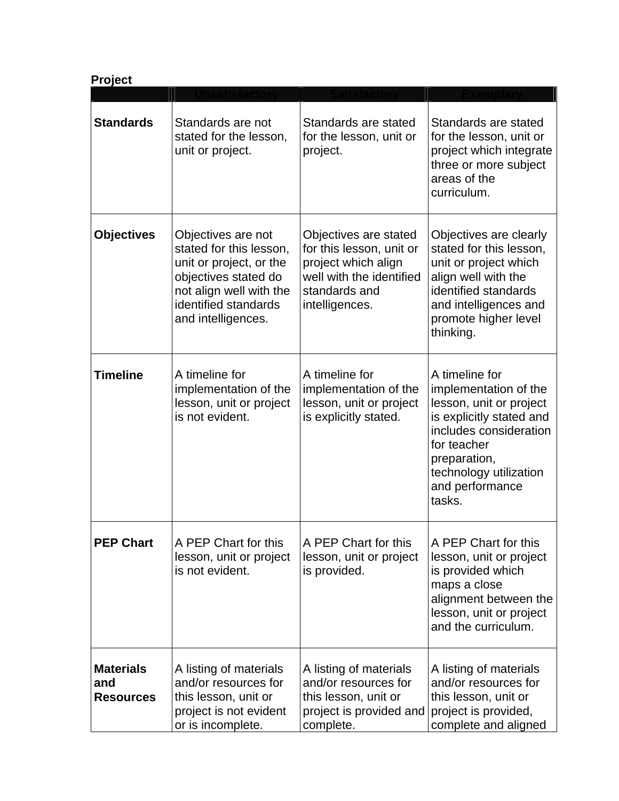| Project                                     |                                                                                                                                                                           |                                                                                                                                         |                                                                                                                                                                                                                |  |  |
|---------------------------------------------|---------------------------------------------------------------------------------------------------------------------------------------------------------------------------|-----------------------------------------------------------------------------------------------------------------------------------------|----------------------------------------------------------------------------------------------------------------------------------------------------------------------------------------------------------------|--|--|
|                                             |                                                                                                                                                                           |                                                                                                                                         |                                                                                                                                                                                                                |  |  |
| <b>Standards</b>                            | Standards are not<br>stated for the lesson,<br>unit or project.                                                                                                           | Standards are stated<br>for the lesson, unit or<br>project.                                                                             | Standards are stated<br>for the lesson, unit or<br>project which integrate<br>three or more subject<br>areas of the<br>curriculum.                                                                             |  |  |
| <b>Objectives</b>                           | Objectives are not<br>stated for this lesson,<br>unit or project, or the<br>objectives stated do<br>not align well with the<br>identified standards<br>and intelligences. | Objectives are stated<br>for this lesson, unit or<br>project which align<br>well with the identified<br>standards and<br>intelligences. | Objectives are clearly<br>stated for this lesson,<br>unit or project which<br>align well with the<br>identified standards<br>and intelligences and<br>promote higher level<br>thinking.                        |  |  |
| <b>Timeline</b>                             | A timeline for<br>implementation of the<br>lesson, unit or project<br>is not evident.                                                                                     | A timeline for<br>implementation of the<br>lesson, unit or project<br>is explicitly stated.                                             | A timeline for<br>implementation of the<br>lesson, unit or project<br>is explicitly stated and<br>includes consideration<br>for teacher<br>preparation,<br>technology utilization<br>and performance<br>tasks. |  |  |
| <b>PEP Chart</b>                            | A PEP Chart for this<br>lesson, unit or project<br>is not evident.                                                                                                        | A PEP Chart for this<br>lesson, unit or project<br>is provided.                                                                         | A PEP Chart for this<br>lesson, unit or project<br>is provided which<br>maps a close<br>alignment between the<br>lesson, unit or project<br>and the curriculum.                                                |  |  |
| <b>Materials</b><br>and<br><b>Resources</b> | A listing of materials<br>and/or resources for<br>this lesson, unit or<br>project is not evident<br>or is incomplete.                                                     | A listing of materials<br>and/or resources for<br>this lesson, unit or<br>project is provided and<br>complete.                          | A listing of materials<br>and/or resources for<br>this lesson, unit or<br>project is provided,<br>complete and aligned                                                                                         |  |  |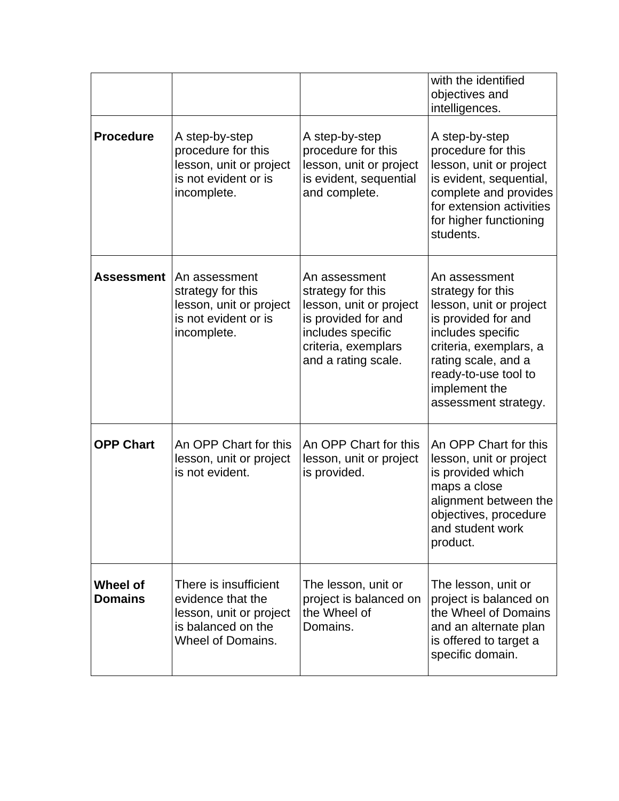|                            |                                                                                                                         |                                                                                                                                                         | with the identified<br>objectives and<br>intelligences.                                                                                                                                                                     |
|----------------------------|-------------------------------------------------------------------------------------------------------------------------|---------------------------------------------------------------------------------------------------------------------------------------------------------|-----------------------------------------------------------------------------------------------------------------------------------------------------------------------------------------------------------------------------|
| <b>Procedure</b>           | A step-by-step<br>procedure for this<br>lesson, unit or project<br>is not evident or is<br>incomplete.                  | A step-by-step<br>procedure for this<br>lesson, unit or project<br>is evident, sequential<br>and complete.                                              | A step-by-step<br>procedure for this<br>lesson, unit or project<br>is evident, sequential,<br>complete and provides<br>for extension activities<br>for higher functioning<br>students.                                      |
| Assessment                 | An assessment<br>strategy for this<br>lesson, unit or project<br>is not evident or is<br>incomplete.                    | An assessment<br>strategy for this<br>lesson, unit or project<br>is provided for and<br>includes specific<br>criteria, exemplars<br>and a rating scale. | An assessment<br>strategy for this<br>lesson, unit or project<br>is provided for and<br>includes specific<br>criteria, exemplars, a<br>rating scale, and a<br>ready-to-use tool to<br>implement the<br>assessment strategy. |
| <b>OPP Chart</b>           | An OPP Chart for this<br>lesson, unit or project<br>is not evident.                                                     | An OPP Chart for this<br>lesson, unit or project<br>is provided.                                                                                        | An OPP Chart for this<br>lesson, unit or project<br>is provided which<br>maps a close<br>alignment between the<br>objectives, procedure<br>and student work<br>product.                                                     |
| Wheel of<br><b>Domains</b> | There is insufficient<br>evidence that the<br>lesson, unit or project<br>is balanced on the<br><b>Wheel of Domains.</b> | The lesson, unit or<br>project is balanced on<br>the Wheel of<br>Domains.                                                                               | The lesson, unit or<br>project is balanced on<br>the Wheel of Domains<br>and an alternate plan<br>is offered to target a<br>specific domain.                                                                                |